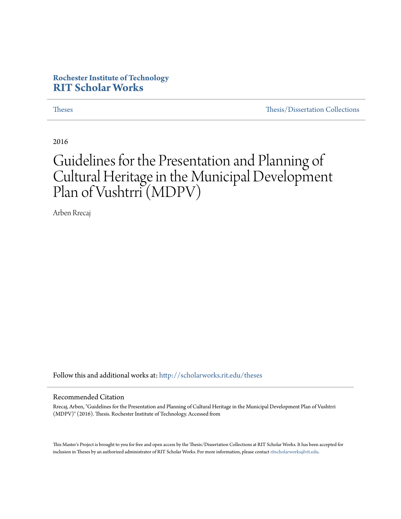## **Rochester Institute of Technology [RIT Scholar Works](http://scholarworks.rit.edu?utm_source=scholarworks.rit.edu%2Ftheses%2F9060&utm_medium=PDF&utm_campaign=PDFCoverPages)**

[Theses](http://scholarworks.rit.edu/theses?utm_source=scholarworks.rit.edu%2Ftheses%2F9060&utm_medium=PDF&utm_campaign=PDFCoverPages) [Thesis/Dissertation Collections](http://scholarworks.rit.edu/etd_collections?utm_source=scholarworks.rit.edu%2Ftheses%2F9060&utm_medium=PDF&utm_campaign=PDFCoverPages)

2016

# Guidelines for the Presentation and Planning of Cultural Heritage in the Municipal Development Plan of Vushtrri (MDPV)

Arben Rrecaj

Follow this and additional works at: [http://scholarworks.rit.edu/theses](http://scholarworks.rit.edu/theses?utm_source=scholarworks.rit.edu%2Ftheses%2F9060&utm_medium=PDF&utm_campaign=PDFCoverPages)

#### Recommended Citation

Rrecaj, Arben, "Guidelines for the Presentation and Planning of Cultural Heritage in the Municipal Development Plan of Vushtrri (MDPV)" (2016). Thesis. Rochester Institute of Technology. Accessed from

This Master's Project is brought to you for free and open access by the Thesis/Dissertation Collections at RIT Scholar Works. It has been accepted for inclusion in Theses by an authorized administrator of RIT Scholar Works. For more information, please contact [ritscholarworks@rit.edu](mailto:ritscholarworks@rit.edu).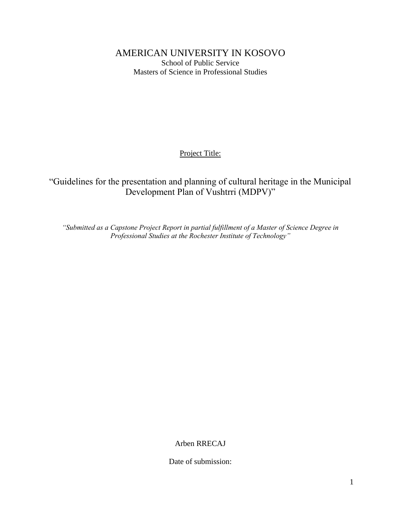AMERICAN UNIVERSITY IN KOSOVO School of Public Service Masters of Science in Professional Studies

Project Title:

# "Guidelines for the presentation and planning of cultural heritage in the Municipal Development Plan of Vushtrri (MDPV)"

*"Submitted as a Capstone Project Report in partial fulfillment of a Master of Science Degree in Professional Studies at the Rochester Institute of Technology"*

Arben RRECAJ

Date of submission: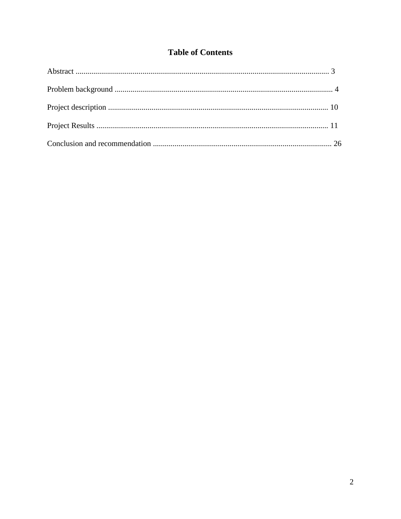# **Table of Contents**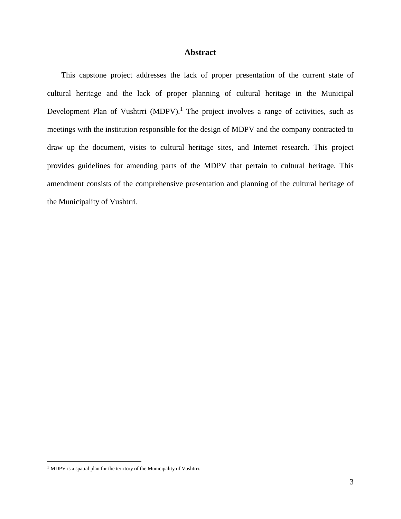#### **Abstract**

This capstone project addresses the lack of proper presentation of the current state of cultural heritage and the lack of proper planning of cultural heritage in the Municipal Development Plan of Vushtrri (MDPV).<sup>1</sup> The project involves a range of activities, such as meetings with the institution responsible for the design of MDPV and the company contracted to draw up the document, visits to cultural heritage sites, and Internet research. This project provides guidelines for amending parts of the MDPV that pertain to cultural heritage. This amendment consists of the comprehensive presentation and planning of the cultural heritage of the Municipality of Vushtrri.

<sup>&</sup>lt;sup>1</sup> MDPV is a spatial plan for the territory of the Municipality of Vushtrri.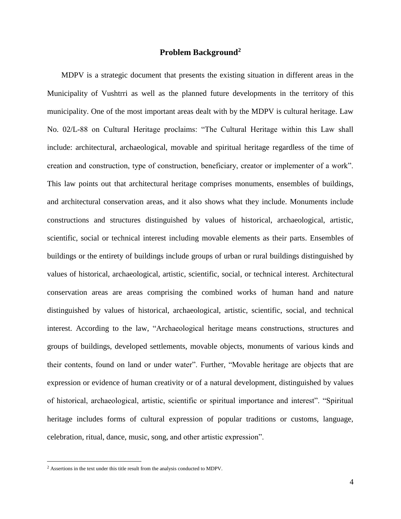#### **Problem Background<sup>2</sup>**

MDPV is a strategic document that presents the existing situation in different areas in the Municipality of Vushtrri as well as the planned future developments in the territory of this municipality. One of the most important areas dealt with by the MDPV is cultural heritage. Law No. 02/L-88 on Cultural Heritage proclaims: "The Cultural Heritage within this Law shall include: architectural, archaeological, movable and spiritual heritage regardless of the time of creation and construction, type of construction, beneficiary, creator or implementer of a work". This law points out that architectural heritage comprises monuments, ensembles of buildings, and architectural conservation areas, and it also shows what they include. Monuments include constructions and structures distinguished by values of historical, archaeological, artistic, scientific, social or technical interest including movable elements as their parts. Ensembles of buildings or the entirety of buildings include groups of urban or rural buildings distinguished by values of historical, archaeological, artistic, scientific, social, or technical interest. Architectural conservation areas are areas comprising the combined works of human hand and nature distinguished by values of historical, archaeological, artistic, scientific, social, and technical interest. According to the law, "Archaeological heritage means constructions, structures and groups of buildings, developed settlements, movable objects, monuments of various kinds and their contents, found on land or under water". Further, "Movable heritage are objects that are expression or evidence of human creativity or of a natural development, distinguished by values of historical, archaeological, artistic, scientific or spiritual importance and interest". "Spiritual heritage includes forms of cultural expression of popular traditions or customs, language, celebration, ritual, dance, music, song, and other artistic expression".

<sup>2</sup> Assertions in the text under this title result from the analysis conducted to MDPV.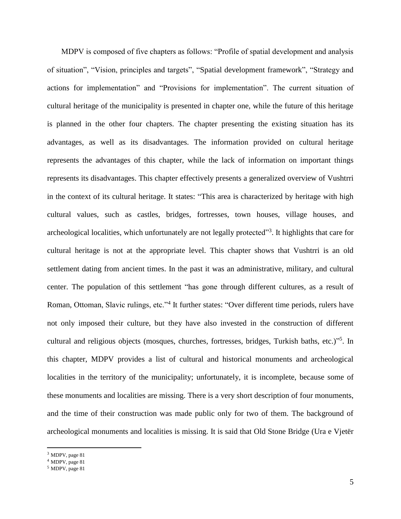MDPV is composed of five chapters as follows: "Profile of spatial development and analysis of situation", "Vision, principles and targets", "Spatial development framework", "Strategy and actions for implementation" and "Provisions for implementation". The current situation of cultural heritage of the municipality is presented in chapter one, while the future of this heritage is planned in the other four chapters. The chapter presenting the existing situation has its advantages, as well as its disadvantages. The information provided on cultural heritage represents the advantages of this chapter, while the lack of information on important things represents its disadvantages. This chapter effectively presents a generalized overview of Vushtrri in the context of its cultural heritage. It states: "This area is characterized by heritage with high cultural values, such as castles, bridges, fortresses, town houses, village houses, and archeological localities, which unfortunately are not legally protected"<sup>3</sup>. It highlights that care for cultural heritage is not at the appropriate level. This chapter shows that Vushtrri is an old settlement dating from ancient times. In the past it was an administrative, military, and cultural center. The population of this settlement "has gone through different cultures, as a result of Roman, Ottoman, Slavic rulings, etc."<sup>4</sup> It further states: "Over different time periods, rulers have not only imposed their culture, but they have also invested in the construction of different cultural and religious objects (mosques, churches, fortresses, bridges, Turkish baths, etc.)"<sup>5</sup>. In this chapter, MDPV provides a list of cultural and historical monuments and archeological localities in the territory of the municipality; unfortunately, it is incomplete, because some of these monuments and localities are missing. There is a very short description of four monuments, and the time of their construction was made public only for two of them. The background of archeological monuments and localities is missing. It is said that Old Stone Bridge (Ura e Vjetër

<sup>3</sup> MDPV, page 81

<sup>4</sup> MDPV, page 81

<sup>5</sup> MDPV, page 81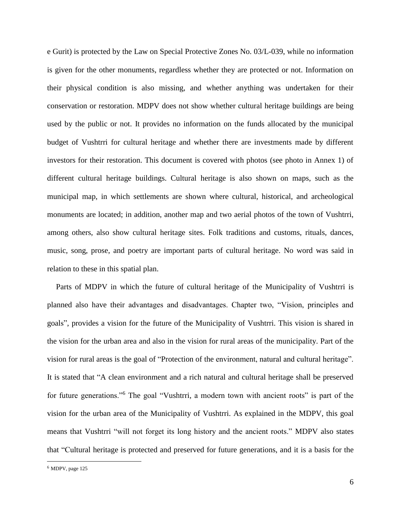e Gurit) is protected by the Law on Special Protective Zones No. 03/L-039, while no information is given for the other monuments, regardless whether they are protected or not. Information on their physical condition is also missing, and whether anything was undertaken for their conservation or restoration. MDPV does not show whether cultural heritage buildings are being used by the public or not. It provides no information on the funds allocated by the municipal budget of Vushtrri for cultural heritage and whether there are investments made by different investors for their restoration. This document is covered with photos (see photo in Annex 1) of different cultural heritage buildings. Cultural heritage is also shown on maps, such as the municipal map, in which settlements are shown where cultural, historical, and archeological monuments are located; in addition, another map and two aerial photos of the town of Vushtrri, among others, also show cultural heritage sites. Folk traditions and customs, rituals, dances, music, song, prose, and poetry are important parts of cultural heritage. No word was said in relation to these in this spatial plan.

Parts of MDPV in which the future of cultural heritage of the Municipality of Vushtrri is planned also have their advantages and disadvantages. Chapter two, "Vision, principles and goals", provides a vision for the future of the Municipality of Vushtrri. This vision is shared in the vision for the urban area and also in the vision for rural areas of the municipality. Part of the vision for rural areas is the goal of "Protection of the environment, natural and cultural heritage". It is stated that "A clean environment and a rich natural and cultural heritage shall be preserved for future generations."<sup>6</sup> The goal "Vushtrri, a modern town with ancient roots" is part of the vision for the urban area of the Municipality of Vushtrri. As explained in the MDPV, this goal means that Vushtrri "will not forget its long history and the ancient roots." MDPV also states that "Cultural heritage is protected and preserved for future generations, and it is a basis for the

 $6$  MDPV, page 125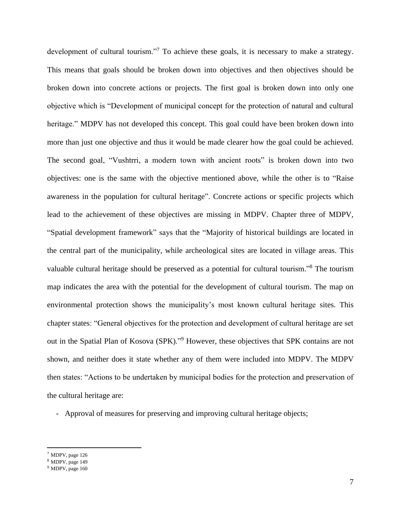development of cultural tourism."<sup>7</sup> To achieve these goals, it is necessary to make a strategy. This means that goals should be broken down into objectives and then objectives should be broken down into concrete actions or projects. The first goal is broken down into only one objective which is "Development of municipal concept for the protection of natural and cultural heritage." MDPV has not developed this concept. This goal could have been broken down into more than just one objective and thus it would be made clearer how the goal could be achieved. The second goal, "Vushtrri, a modern town with ancient roots" is broken down into two objectives: one is the same with the objective mentioned above, while the other is to "Raise awareness in the population for cultural heritage". Concrete actions or specific projects which lead to the achievement of these objectives are missing in MDPV. Chapter three of MDPV, "Spatial development framework" says that the "Majority of historical buildings are located in the central part of the municipality, while archeological sites are located in village areas. This valuable cultural heritage should be preserved as a potential for cultural tourism."<sup>8</sup> The tourism map indicates the area with the potential for the development of cultural tourism. The map on environmental protection shows the municipality's most known cultural heritage sites. This chapter states: "General objectives for the protection and development of cultural heritage are set out in the Spatial Plan of Kosova (SPK)."<sup>9</sup> However, these objectives that SPK contains are not shown, and neither does it state whether any of them were included into MDPV. The MDPV then states: "Actions to be undertaken by municipal bodies for the protection and preservation of the cultural heritage are:

- Approval of measures for preserving and improving cultural heritage objects;

<sup>7</sup> MDPV, page 126

<sup>8</sup> MDPV, page 149

<sup>&</sup>lt;sup>9</sup> MDPV, page 160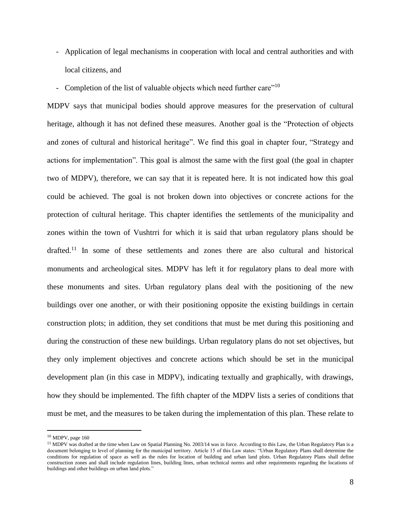- Application of legal mechanisms in cooperation with local and central authorities and with local citizens, and
- Completion of the list of valuable objects which need further care"<sup>10</sup>

MDPV says that municipal bodies should approve measures for the preservation of cultural heritage, although it has not defined these measures. Another goal is the "Protection of objects and zones of cultural and historical heritage". We find this goal in chapter four, "Strategy and actions for implementation". This goal is almost the same with the first goal (the goal in chapter two of MDPV), therefore, we can say that it is repeated here. It is not indicated how this goal could be achieved. The goal is not broken down into objectives or concrete actions for the protection of cultural heritage. This chapter identifies the settlements of the municipality and zones within the town of Vushtrri for which it is said that urban regulatory plans should be drafted.<sup>11</sup> In some of these settlements and zones there are also cultural and historical monuments and archeological sites. MDPV has left it for regulatory plans to deal more with these monuments and sites. Urban regulatory plans deal with the positioning of the new buildings over one another, or with their positioning opposite the existing buildings in certain construction plots; in addition, they set conditions that must be met during this positioning and during the construction of these new buildings. Urban regulatory plans do not set objectives, but they only implement objectives and concrete actions which should be set in the municipal development plan (in this case in MDPV), indicating textually and graphically, with drawings, how they should be implemented. The fifth chapter of the MDPV lists a series of conditions that must be met, and the measures to be taken during the implementation of this plan. These relate to

<sup>10</sup> MDPV, page 160

<sup>&</sup>lt;sup>11</sup> MDPV was drafted at the time when Law on Spatial Planning No. 2003/14 was in force. According to this Law, the Urban Regulatory Plan is a document belonging to level of planning for the municipal territory. Article 15 of this Law states: "Urban Regulatory Plans shall determine the conditions for regulation of space as well as the rules for location of building and urban land plots. Urban Regulatory Plans shall define construction zones and shall include regulation lines, building lines, urban technical norms and other requirements regarding the locations of buildings and other buildings on urban land plots."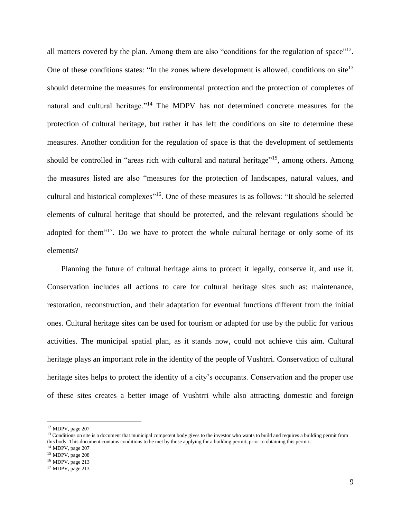all matters covered by the plan. Among them are also "conditions for the regulation of space"<sup>12</sup>. One of these conditions states: "In the zones where development is allowed, conditions on site<sup>13</sup> should determine the measures for environmental protection and the protection of complexes of natural and cultural heritage."<sup>14</sup> The MDPV has not determined concrete measures for the protection of cultural heritage, but rather it has left the conditions on site to determine these measures. Another condition for the regulation of space is that the development of settlements should be controlled in "areas rich with cultural and natural heritage"<sup>15</sup>, among others. Among the measures listed are also "measures for the protection of landscapes, natural values, and cultural and historical complexes<sup>"16</sup>. One of these measures is as follows: "It should be selected elements of cultural heritage that should be protected, and the relevant regulations should be adopted for them<sup>"17</sup>. Do we have to protect the whole cultural heritage or only some of its elements?

Planning the future of cultural heritage aims to protect it legally, conserve it, and use it. Conservation includes all actions to care for cultural heritage sites such as: maintenance, restoration, reconstruction, and their adaptation for eventual functions different from the initial ones. Cultural heritage sites can be used for tourism or adapted for use by the public for various activities. The municipal spatial plan, as it stands now, could not achieve this aim. Cultural heritage plays an important role in the identity of the people of Vushtrri. Conservation of cultural heritage sites helps to protect the identity of a city's occupants. Conservation and the proper use of these sites creates a better image of Vushtrri while also attracting domestic and foreign

<sup>12</sup> MDPV, page 207

<sup>&</sup>lt;sup>13</sup> Conditions on site is a document that municipal competent body gives to the investor who wants to build and requires a building permit from this body. This document contains conditions to be met by those applying for a building permit, prior to obtaining this permit.

<sup>&</sup>lt;sup>14</sup> MDPV, page 207

<sup>15</sup> MDPV, page 208

<sup>16</sup> MDPV, page 213

<sup>17</sup> MDPV, page 213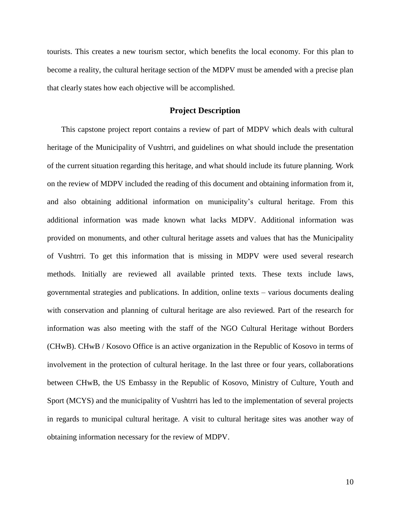tourists. This creates a new tourism sector, which benefits the local economy. For this plan to become a reality, the cultural heritage section of the MDPV must be amended with a precise plan that clearly states how each objective will be accomplished.

#### **Project Description**

This capstone project report contains a review of part of MDPV which deals with cultural heritage of the Municipality of Vushtrri, and guidelines on what should include the presentation of the current situation regarding this heritage, and what should include its future planning. Work on the review of MDPV included the reading of this document and obtaining information from it, and also obtaining additional information on municipality's cultural heritage. From this additional information was made known what lacks MDPV. Additional information was provided on monuments, and other cultural heritage assets and values that has the Municipality of Vushtrri. To get this information that is missing in MDPV were used several research methods. Initially are reviewed all available printed texts. These texts include laws, governmental strategies and publications. In addition, online texts – various documents dealing with conservation and planning of cultural heritage are also reviewed. Part of the research for information was also meeting with the staff of the NGO Cultural Heritage without Borders (CHwB). CHwB / Kosovo Office is an active organization in the Republic of Kosovo in terms of involvement in the protection of cultural heritage. In the last three or four years, collaborations between CHwB, the US Embassy in the Republic of Kosovo, Ministry of Culture, Youth and Sport (MCYS) and the municipality of Vushtrri has led to the implementation of several projects in regards to municipal cultural heritage. A visit to cultural heritage sites was another way of obtaining information necessary for the review of MDPV.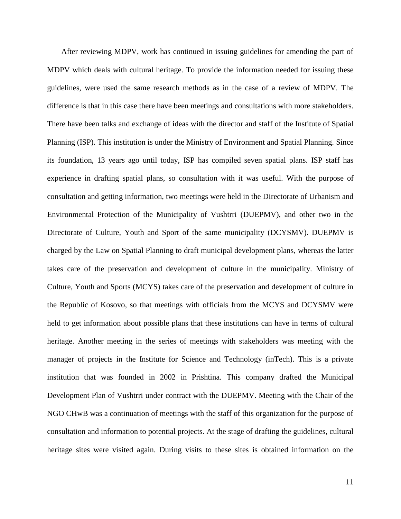After reviewing MDPV, work has continued in issuing guidelines for amending the part of MDPV which deals with cultural heritage. To provide the information needed for issuing these guidelines, were used the same research methods as in the case of a review of MDPV. The difference is that in this case there have been meetings and consultations with more stakeholders. There have been talks and exchange of ideas with the director and staff of the Institute of Spatial Planning (ISP). This institution is under the Ministry of Environment and Spatial Planning. Since its foundation, 13 years ago until today, ISP has compiled seven spatial plans. ISP staff has experience in drafting spatial plans, so consultation with it was useful. With the purpose of consultation and getting information, two meetings were held in the Directorate of Urbanism and Environmental Protection of the Municipality of Vushtrri (DUEPMV), and other two in the Directorate of Culture, Youth and Sport of the same municipality (DCYSMV). DUEPMV is charged by the Law on Spatial Planning to draft municipal development plans, whereas the latter takes care of the preservation and development of culture in the municipality. Ministry of Culture, Youth and Sports (MCYS) takes care of the preservation and development of culture in the Republic of Kosovo, so that meetings with officials from the MCYS and DCYSMV were held to get information about possible plans that these institutions can have in terms of cultural heritage. Another meeting in the series of meetings with stakeholders was meeting with the manager of projects in the Institute for Science and Technology (inTech). This is a private institution that was founded in 2002 in Prishtina. This company drafted the Municipal Development Plan of Vushtrri under contract with the DUEPMV. Meeting with the Chair of the NGO CHwB was a continuation of meetings with the staff of this organization for the purpose of consultation and information to potential projects. At the stage of drafting the guidelines, cultural heritage sites were visited again. During visits to these sites is obtained information on the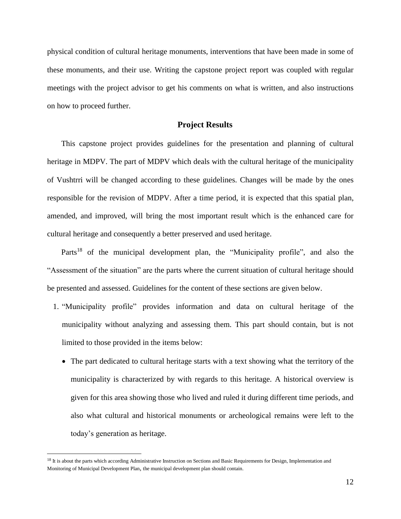physical condition of cultural heritage monuments, interventions that have been made in some of these monuments, and their use. Writing the capstone project report was coupled with regular meetings with the project advisor to get his comments on what is written, and also instructions on how to proceed further.

#### **Project Results**

This capstone project provides guidelines for the presentation and planning of cultural heritage in MDPV. The part of MDPV which deals with the cultural heritage of the municipality of Vushtrri will be changed according to these guidelines. Changes will be made by the ones responsible for the revision of MDPV. After a time period, it is expected that this spatial plan, amended, and improved, will bring the most important result which is the enhanced care for cultural heritage and consequently a better preserved and used heritage.

Parts<sup>18</sup> of the municipal development plan, the "Municipality profile", and also the "Assessment of the situation" are the parts where the current situation of cultural heritage should be presented and assessed. Guidelines for the content of these sections are given below.

- 1. "Municipality profile" provides information and data on cultural heritage of the municipality without analyzing and assessing them. This part should contain, but is not limited to those provided in the items below:
	- The part dedicated to cultural heritage starts with a text showing what the territory of the municipality is characterized by with regards to this heritage. A historical overview is given for this area showing those who lived and ruled it during different time periods, and also what cultural and historical monuments or archeological remains were left to the today's generation as heritage.

<sup>&</sup>lt;sup>18</sup> It is about the parts which according Administrative Instruction on Sections and Basic Requirements for Design, Implementation and Monitoring of Municipal Development Plan, the municipal development plan should contain.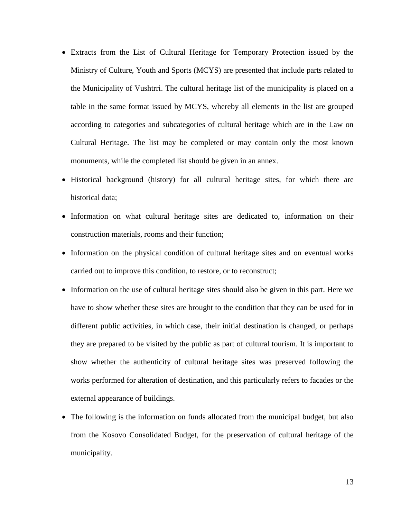- Extracts from the List of Cultural Heritage for Temporary Protection issued by the Ministry of Culture, Youth and Sports (MCYS) are presented that include parts related to the Municipality of Vushtrri. The cultural heritage list of the municipality is placed on a table in the same format issued by MCYS, whereby all elements in the list are grouped according to categories and subcategories of cultural heritage which are in the Law on Cultural Heritage. The list may be completed or may contain only the most known monuments, while the completed list should be given in an annex.
- Historical background (history) for all cultural heritage sites, for which there are historical data;
- Information on what cultural heritage sites are dedicated to, information on their construction materials, rooms and their function;
- Information on the physical condition of cultural heritage sites and on eventual works carried out to improve this condition, to restore, or to reconstruct;
- Information on the use of cultural heritage sites should also be given in this part. Here we have to show whether these sites are brought to the condition that they can be used for in different public activities, in which case, their initial destination is changed, or perhaps they are prepared to be visited by the public as part of cultural tourism. It is important to show whether the authenticity of cultural heritage sites was preserved following the works performed for alteration of destination, and this particularly refers to facades or the external appearance of buildings.
- The following is the information on funds allocated from the municipal budget, but also from the Kosovo Consolidated Budget, for the preservation of cultural heritage of the municipality.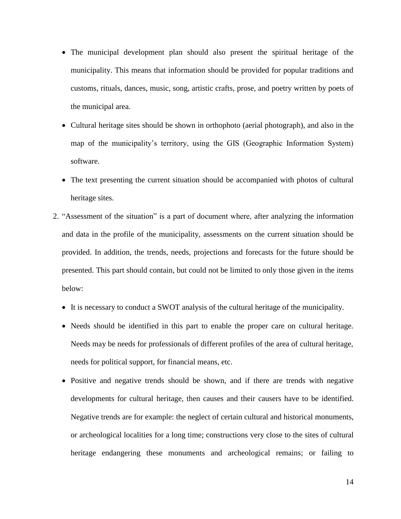- The municipal development plan should also present the spiritual heritage of the municipality. This means that information should be provided for popular traditions and customs, rituals, dances, music, song, artistic crafts, prose, and poetry written by poets of the municipal area.
- Cultural heritage sites should be shown in orthophoto (aerial photograph), and also in the map of the municipality's territory, using the GIS (Geographic Information System) software.
- The text presenting the current situation should be accompanied with photos of cultural heritage sites.
- 2. "Assessment of the situation" is a part of document where, after analyzing the information and data in the profile of the municipality, assessments on the current situation should be provided. In addition, the trends, needs, projections and forecasts for the future should be presented. This part should contain, but could not be limited to only those given in the items below:
	- It is necessary to conduct a SWOT analysis of the cultural heritage of the municipality.
	- Needs should be identified in this part to enable the proper care on cultural heritage. Needs may be needs for professionals of different profiles of the area of cultural heritage, needs for political support, for financial means, etc.
	- Positive and negative trends should be shown, and if there are trends with negative developments for cultural heritage, then causes and their causers have to be identified. Negative trends are for example: the neglect of certain cultural and historical monuments, or archeological localities for a long time; constructions very close to the sites of cultural heritage endangering these monuments and archeological remains; or failing to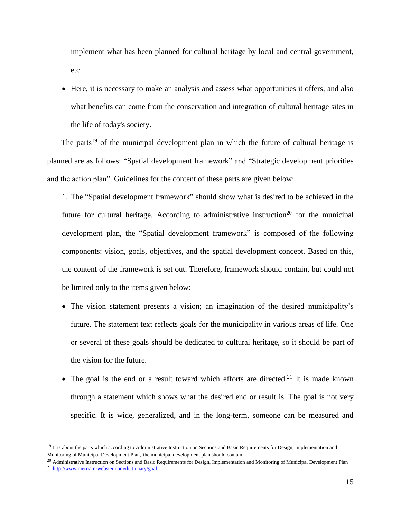implement what has been planned for cultural heritage by local and central government, etc.

• Here, it is necessary to make an analysis and assess what opportunities it offers, and also what benefits can come from the conservation and integration of cultural heritage sites in the life of today's society.

The parts<sup>19</sup> of the municipal development plan in which the future of cultural heritage is planned are as follows: "Spatial development framework" and "Strategic development priorities and the action plan". Guidelines for the content of these parts are given below:

1. The "Spatial development framework" should show what is desired to be achieved in the future for cultural heritage. According to administrative instruction<sup>20</sup> for the municipal development plan, the "Spatial development framework" is composed of the following components: vision, goals, objectives, and the spatial development concept. Based on this, the content of the framework is set out. Therefore, framework should contain, but could not be limited only to the items given below:

- The vision statement presents a vision; an imagination of the desired municipality's future. The statement text reflects goals for the municipality in various areas of life. One or several of these goals should be dedicated to cultural heritage, so it should be part of the vision for the future.
- The goal is the end or a result toward which efforts are directed.<sup>21</sup> It is made known through a statement which shows what the desired end or result is. The goal is not very specific. It is wide, generalized, and in the long-term, someone can be measured and

<sup>&</sup>lt;sup>19</sup> It is about the parts which according to Administrative Instruction on Sections and Basic Requirements for Design, Implementation and Monitoring of Municipal Development Plan, the municipal development plan should contain.

<sup>&</sup>lt;sup>20</sup> Administrative Instruction on Sections and Basic Requirements for Design, Implementation and Monitoring of Municipal Development Plan <sup>21</sup> <http://www.merriam-webster.com/dictionary/goal>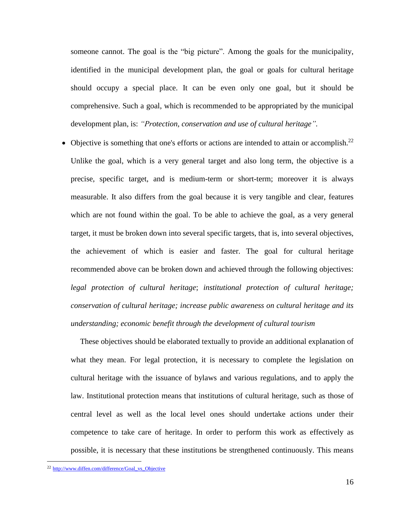someone cannot. The goal is the "big picture". Among the goals for the municipality, identified in the municipal development plan, the goal or goals for cultural heritage should occupy a special place. It can be even only one goal, but it should be comprehensive. Such a goal, which is recommended to be appropriated by the municipal development plan, is: *"Protection, conservation and use of cultural heritage".*

Objective is something that one's efforts or actions are intended to attain or accomplish.<sup>22</sup> Unlike the goal, which is a very general target and also long term, the objective is a precise, specific target, and is medium-term or short-term; moreover it is always measurable. It also differs from the goal because it is very tangible and clear, features which are not found within the goal. To be able to achieve the goal, as a very general target, it must be broken down into several specific targets, that is, into several objectives, the achievement of which is easier and faster. The goal for cultural heritage recommended above can be broken down and achieved through the following objectives: *legal protection of cultural heritage*; *institutional protection of cultural heritage; conservation of cultural heritage; increase public awareness on cultural heritage and its understanding; economic benefit through the development of cultural tourism*

These objectives should be elaborated textually to provide an additional explanation of what they mean. For legal protection, it is necessary to complete the legislation on cultural heritage with the issuance of bylaws and various regulations, and to apply the law. Institutional protection means that institutions of cultural heritage, such as those of central level as well as the local level ones should undertake actions under their competence to take care of heritage. In order to perform this work as effectively as possible, it is necessary that these institutions be strengthened continuously. This means

<sup>22</sup> [http://www.diffen.com/difference/Goal\\_vs\\_Objective](http://www.diffen.com/difference/Goal_vs_Objective)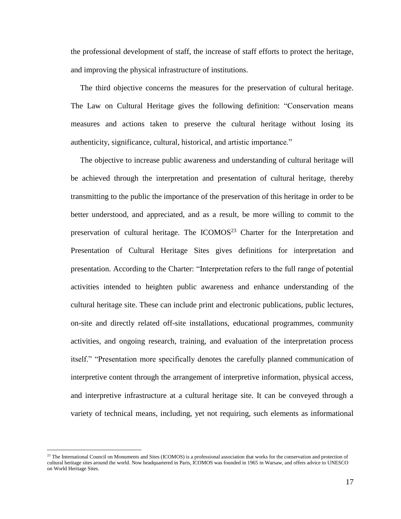the professional development of staff, the increase of staff efforts to protect the heritage, and improving the physical infrastructure of institutions.

The third objective concerns the measures for the preservation of cultural heritage. The Law on Cultural Heritage gives the following definition: "Conservation means measures and actions taken to preserve the cultural heritage without losing its authenticity, significance, cultural, historical, and artistic importance."

The objective to increase public awareness and understanding of cultural heritage will be achieved through the interpretation and presentation of cultural heritage, thereby transmitting to the public the importance of the preservation of this heritage in order to be better understood, and appreciated, and as a result, be more willing to commit to the preservation of cultural heritage. The  $ICOMOS<sup>23</sup>$  Charter for the Interpretation and Presentation of Cultural Heritage Sites gives definitions for interpretation and presentation. According to the Charter: "Interpretation refers to the full range of potential activities intended to heighten public awareness and enhance understanding of the cultural heritage site. These can include print and electronic publications, public lectures, on-site and directly related off-site installations, educational programmes, community activities, and ongoing research, training, and evaluation of the interpretation process itself." "Presentation more specifically denotes the carefully planned communication of interpretive content through the arrangement of interpretive information, physical access, and interpretive infrastructure at a cultural heritage site. It can be conveyed through a variety of technical means, including, yet not requiring, such elements as informational

<sup>&</sup>lt;sup>23</sup> The International Council on Monuments and Sites (ICOMOS) is a professional association that works for the conservation and protection of cultural heritage sites around the world. Now headquartered in Paris, ICOMOS was founded in 1965 i[n Warsaw,](https://en.wikipedia.org/wiki/Warsaw) and offers advice t[o UNESCO](https://en.wikipedia.org/wiki/UNESCO) o[n World Heritage Sites.](https://en.wikipedia.org/wiki/World_Heritage_Site)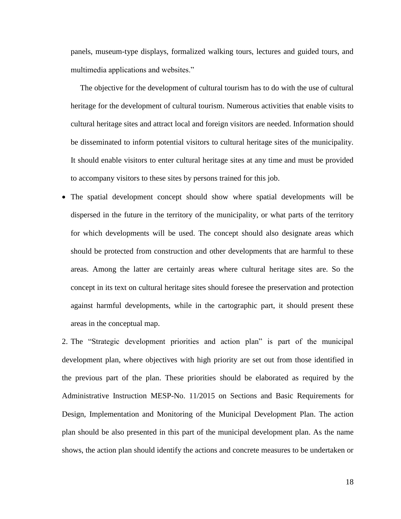panels, museum-type displays, formalized walking tours, lectures and guided tours, and multimedia applications and websites."

The objective for the development of cultural tourism has to do with the use of cultural heritage for the development of cultural tourism. Numerous activities that enable visits to cultural heritage sites and attract local and foreign visitors are needed. Information should be disseminated to inform potential visitors to cultural heritage sites of the municipality. It should enable visitors to enter cultural heritage sites at any time and must be provided to accompany visitors to these sites by persons trained for this job.

 The spatial development concept should show where spatial developments will be dispersed in the future in the territory of the municipality, or what parts of the territory for which developments will be used. The concept should also designate areas which should be protected from construction and other developments that are harmful to these areas. Among the latter are certainly areas where cultural heritage sites are. So the concept in its text on cultural heritage sites should foresee the preservation and protection against harmful developments, while in the cartographic part, it should present these areas in the conceptual map.

2. The "Strategic development priorities and action plan" is part of the municipal development plan, where objectives with high priority are set out from those identified in the previous part of the plan. These priorities should be elaborated as required by the Administrative Instruction MESP-No. 11/2015 on Sections and Basic Requirements for Design, Implementation and Monitoring of the Municipal Development Plan. The action plan should be also presented in this part of the municipal development plan. As the name shows, the action plan should identify the actions and concrete measures to be undertaken or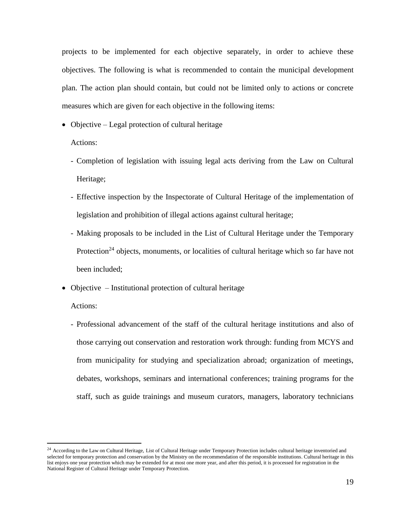projects to be implemented for each objective separately, in order to achieve these objectives. The following is what is recommended to contain the municipal development plan. The action plan should contain, but could not be limited only to actions or concrete measures which are given for each objective in the following items:

• Objective – Legal protection of cultural heritage

Actions:

- Completion of legislation with issuing legal acts deriving from the Law on Cultural Heritage;
- Effective inspection by the Inspectorate of Cultural Heritage of the implementation of legislation and prohibition of illegal actions against cultural heritage;
- Making proposals to be included in the List of Cultural Heritage under the Temporary Protection<sup>24</sup> objects, monuments, or localities of cultural heritage which so far have not been included;
- Objective Institutional protection of cultural heritage

#### Actions:

 $\overline{a}$ 

- Professional advancement of the staff of the cultural heritage institutions and also of those carrying out conservation and restoration work through: funding from MCYS and from municipality for studying and specialization abroad; organization of meetings, debates, workshops, seminars and international conferences; training programs for the staff, such as guide trainings and museum curators, managers, laboratory technicians

<sup>&</sup>lt;sup>24</sup> According to the Law on Cultural Heritage, List of Cultural Heritage under Temporary Protection includes cultural heritage inventoried and selected for temporary protection and conservation by the Ministry on the recommendation of the responsible institutions. Cultural heritage in this list enjoys one year protection which may be extended for at most one more year, and after this period, it is processed for registration in the National Register of Cultural Heritage under Temporary Protection.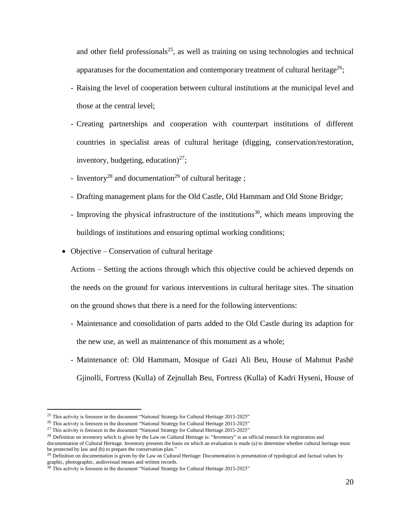and other field professionals<sup>25</sup>, as well as training on using technologies and technical apparatuses for the documentation and contemporary treatment of cultural heritage<sup>26</sup>;

- Raising the level of cooperation between cultural institutions at the municipal level and those at the central level;
- Creating partnerships and cooperation with counterpart institutions of different countries in specialist areas of cultural heritage (digging, conservation/restoration, inventory, budgeting, education)<sup>27</sup>;
- Inventory<sup>28</sup> and documentation<sup>29</sup> of cultural heritage;
- Drafting management plans for the Old Castle, Old Hammam and Old Stone Bridge;
- Improving the physical infrastructure of the institutions<sup>30</sup>, which means improving the buildings of institutions and ensuring optimal working conditions;
- Objective Conservation of cultural heritage

Actions – Setting the actions through which this objective could be achieved depends on the needs on the ground for various interventions in cultural heritage sites. The situation on the ground shows that there is a need for the following interventions:

- Maintenance and consolidation of parts added to the Old Castle during its adaption for the new use, as well as maintenance of this monument as a whole;
- Maintenance of: Old Hammam, Mosque of Gazi Ali Beu, House of Mahmut Pashë Gjinolli, Fortress (Kulla) of Zejnullah Beu, Fortress (Kulla) of Kadri Hyseni, House of

<sup>&</sup>lt;sup>25</sup> This activity is foreseen in the document "National Strategy for Cultural Heritage 2015-2025"

<sup>&</sup>lt;sup>26</sup> This activity is foreseen in the document "National Strategy for Cultural Heritage 2015-2025"

 $27$  This activity is foreseen in the document "National Strategy for Cultural Heritage 2015-2025"

 $^{28}$  Definition on inventory which is given by the Law on Cultural Heritage is: "Inventory" is an official research for registration and

documentation of Cultural Heritage. Inventory presents the basis on which an evaluation is made (a) to determine whether cultural heritage must be protected by law and (b) to prepare the conservation plan."

 $29$  Definition on documentation is given by the Law on Cultural Heritage: Documentation is presentation of typological and factual values by graphic, photographic, audiovisual means and written records.

 $30$  This activity is foreseen in the document "National Strategy for Cultural Heritage 2015-2025"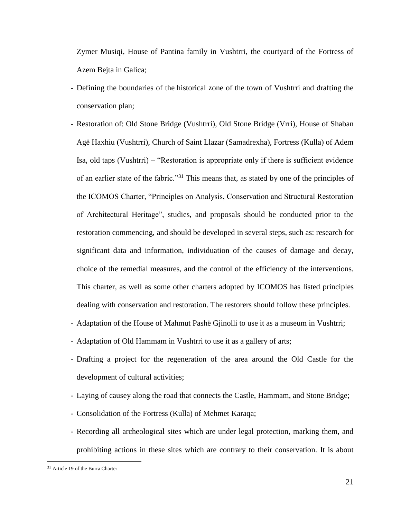Zymer Musiqi, House of Pantina family in Vushtrri, the courtyard of the Fortress of Azem Bejta in Galica;

- Defining the boundaries of the historical zone of the town of Vushtrri and drafting the conservation plan;
- Restoration of: Old Stone Bridge (Vushtrri), Old Stone Bridge (Vrri), House of Shaban Agë Haxhiu (Vushtrri), Church of Saint Llazar (Samadrexha), Fortress (Kulla) of Adem Isa, old taps (Vushtrri) – "Restoration is appropriate only if there is sufficient evidence of an earlier state of the fabric."<sup>31</sup> This means that, as stated by one of the principles of the ICOMOS Charter, "Principles on Analysis, Conservation and Structural Restoration of Architectural Heritage", studies, and proposals should be conducted prior to the restoration commencing, and should be developed in several steps, such as: research for significant data and information, individuation of the causes of damage and decay, choice of the remedial measures, and the control of the efficiency of the interventions. This charter, as well as some other charters adopted by ICOMOS has listed principles dealing with conservation and restoration. The restorers should follow these principles.
- Adaptation of the House of Mahmut Pashë Gjinolli to use it as a museum in Vushtrri;
- Adaptation of Old Hammam in Vushtrri to use it as a gallery of arts;
- Drafting a project for the regeneration of the area around the Old Castle for the development of cultural activities;
- Laying of causey along the road that connects the Castle, Hammam, and Stone Bridge;
- Consolidation of the Fortress (Kulla) of Mehmet Karaqa;
- Recording all archeological sites which are under legal protection, marking them, and prohibiting actions in these sites which are contrary to their conservation. It is about

<sup>31</sup> Article 19 of the Burra Charter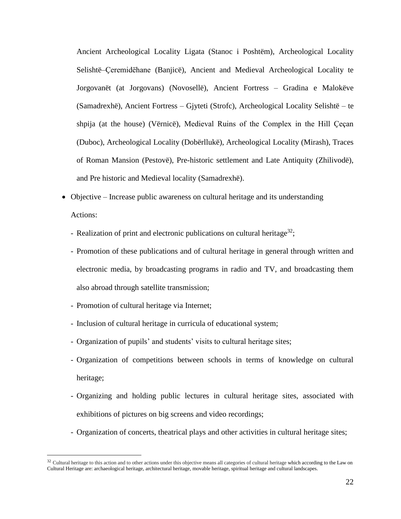Ancient Archeological Locality Ligata (Stanoc i Poshtëm), Archeological Locality Selishtë–Ҫeremidëhane (Banjicë), Ancient and Medieval Archeological Locality te Jorgovanët (at Jorgovans) (Novosellë), Ancient Fortress – Gradina e Malokëve (Samadrexhë), Ancient Fortress – Gjyteti (Strofc), Archeological Locality Selishtë – te shpija (at the house) (Vërnicë), Medieval Ruins of the Complex in the Hill Çeçan (Duboc), Archeological Locality (Dobërllukë), Archeological Locality (Mirash), Traces of Roman Mansion (Pestovë), Pre-historic settlement and Late Antiquity (Zhilivodë), and Pre historic and Medieval locality (Samadrexhë).

- Objective Increase public awareness on cultural heritage and its understanding Actions:
	- Realization of print and electronic publications on cultural heritage<sup>32</sup>;
	- Promotion of these publications and of cultural heritage in general through written and electronic media, by broadcasting programs in radio and TV, and broadcasting them also abroad through satellite transmission;
	- Promotion of cultural heritage via Internet;

- Inclusion of cultural heritage in curricula of educational system;
- Organization of pupils' and students' visits to cultural heritage sites;
- Organization of competitions between schools in terms of knowledge on cultural heritage;
- Organizing and holding public lectures in cultural heritage sites, associated with exhibitions of pictures on big screens and video recordings;
- Organization of concerts, theatrical plays and other activities in cultural heritage sites;

<sup>&</sup>lt;sup>32</sup> Cultural heritage to this action and to other actions under this objective means all categories of cultural heritage which according to the Law on Cultural Heritage are: archaeological heritage, architectural heritage, movable heritage, spiritual heritage and cultural landscapes.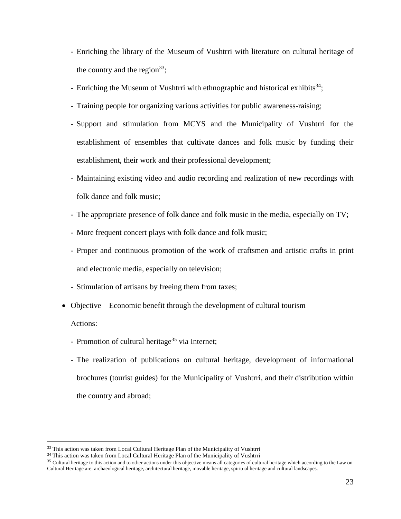- Enriching the library of the Museum of Vushtrri with literature on cultural heritage of the country and the region<sup>33</sup>;
- Enriching the Museum of Vushtrri with ethnographic and historical exhibits<sup>34</sup>;
- Training people for organizing various activities for public awareness-raising;
- Support and stimulation from MCYS and the Municipality of Vushtrri for the establishment of ensembles that cultivate dances and folk music by funding their establishment, their work and their professional development;
- Maintaining existing video and audio recording and realization of new recordings with folk dance and folk music;
- The appropriate presence of folk dance and folk music in the media, especially on TV;
- More frequent concert plays with folk dance and folk music;
- Proper and continuous promotion of the work of craftsmen and artistic crafts in print and electronic media, especially on television;
- Stimulation of artisans by freeing them from taxes;
- Objective Economic benefit through the development of cultural tourism

Actions:

- Promotion of cultural heritage<sup>35</sup> via Internet;
- The realization of publications on cultural heritage, development of informational brochures (tourist guides) for the Municipality of Vushtrri, and their distribution within the country and abroad;

<sup>&</sup>lt;sup>33</sup> This action was taken from Local Cultural Heritage Plan of the Municipality of Vushtrri

<sup>&</sup>lt;sup>34</sup> This action was taken from Local Cultural Heritage Plan of the Municipality of Vushtrri

<sup>&</sup>lt;sup>35</sup> Cultural heritage to this action and to other actions under this objective means all categories of cultural heritage which according to the Law on Cultural Heritage are: archaeological heritage, architectural heritage, movable heritage, spiritual heritage and cultural landscapes.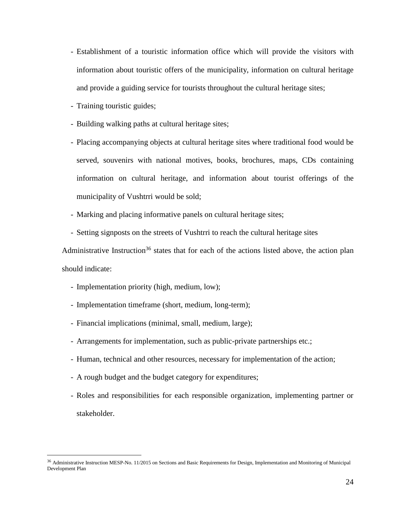- Establishment of a touristic information office which will provide the visitors with information about touristic offers of the municipality, information on cultural heritage and provide a guiding service for tourists throughout the cultural heritage sites;
- Training touristic guides;
- Building walking paths at cultural heritage sites;
- Placing accompanying objects at cultural heritage sites where traditional food would be served, souvenirs with national motives, books, brochures, maps, CDs containing information on cultural heritage, and information about tourist offerings of the municipality of Vushtrri would be sold;
- Marking and placing informative panels on cultural heritage sites;
- Setting signposts on the streets of Vushtrri to reach the cultural heritage sites

Administrative Instruction<sup>36</sup> states that for each of the actions listed above, the action plan should indicate:

- Implementation priority (high, medium, low);

- Implementation timeframe (short, medium, long-term);
- Financial implications (minimal, small, medium, large);
- Arrangements for implementation, such as public-private partnerships etc.;
- Human, technical and other resources, necessary for implementation of the action;
- A rough budget and the budget category for expenditures;
- Roles and responsibilities for each responsible organization, implementing partner or stakeholder.

<sup>&</sup>lt;sup>36</sup> Administrative Instruction MESP-No. 11/2015 on Sections and Basic Requirements for Design, Implementation and Monitoring of Municipal Development Plan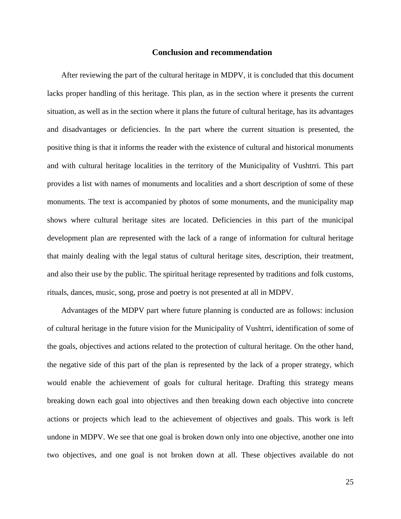#### **Conclusion and recommendation**

After reviewing the part of the cultural heritage in MDPV, it is concluded that this document lacks proper handling of this heritage. This plan, as in the section where it presents the current situation, as well as in the section where it plans the future of cultural heritage, has its advantages and disadvantages or deficiencies. In the part where the current situation is presented, the positive thing is that it informs the reader with the existence of cultural and historical monuments and with cultural heritage localities in the territory of the Municipality of Vushtrri. This part provides a list with names of monuments and localities and a short description of some of these monuments. The text is accompanied by photos of some monuments, and the municipality map shows where cultural heritage sites are located. Deficiencies in this part of the municipal development plan are represented with the lack of a range of information for cultural heritage that mainly dealing with the legal status of cultural heritage sites, description, their treatment, and also their use by the public. The spiritual heritage represented by traditions and folk customs, rituals, dances, music, song, prose and poetry is not presented at all in MDPV.

Advantages of the MDPV part where future planning is conducted are as follows: inclusion of cultural heritage in the future vision for the Municipality of Vushtrri, identification of some of the goals, objectives and actions related to the protection of cultural heritage. On the other hand, the negative side of this part of the plan is represented by the lack of a proper strategy, which would enable the achievement of goals for cultural heritage. Drafting this strategy means breaking down each goal into objectives and then breaking down each objective into concrete actions or projects which lead to the achievement of objectives and goals. This work is left undone in MDPV. We see that one goal is broken down only into one objective, another one into two objectives, and one goal is not broken down at all. These objectives available do not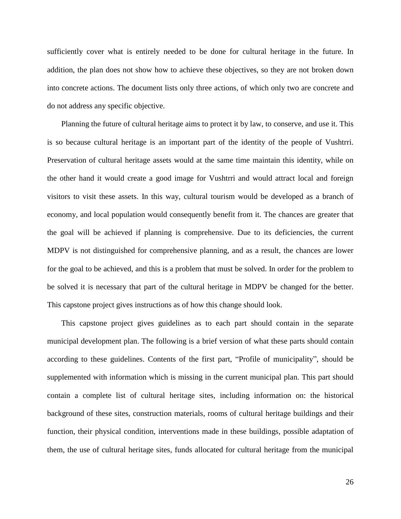sufficiently cover what is entirely needed to be done for cultural heritage in the future. In addition, the plan does not show how to achieve these objectives, so they are not broken down into concrete actions. The document lists only three actions, of which only two are concrete and do not address any specific objective.

Planning the future of cultural heritage aims to protect it by law, to conserve, and use it. This is so because cultural heritage is an important part of the identity of the people of Vushtrri. Preservation of cultural heritage assets would at the same time maintain this identity, while on the other hand it would create a good image for Vushtrri and would attract local and foreign visitors to visit these assets. In this way, cultural tourism would be developed as a branch of economy, and local population would consequently benefit from it. The chances are greater that the goal will be achieved if planning is comprehensive. Due to its deficiencies, the current MDPV is not distinguished for comprehensive planning, and as a result, the chances are lower for the goal to be achieved, and this is a problem that must be solved. In order for the problem to be solved it is necessary that part of the cultural heritage in MDPV be changed for the better. This capstone project gives instructions as of how this change should look.

This capstone project gives guidelines as to each part should contain in the separate municipal development plan. The following is a brief version of what these parts should contain according to these guidelines. Contents of the first part, "Profile of municipality", should be supplemented with information which is missing in the current municipal plan. This part should contain a complete list of cultural heritage sites, including information on: the historical background of these sites, construction materials, rooms of cultural heritage buildings and their function, their physical condition, interventions made in these buildings, possible adaptation of them, the use of cultural heritage sites, funds allocated for cultural heritage from the municipal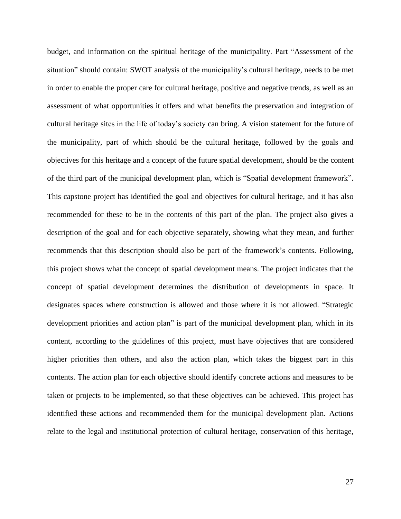budget, and information on the spiritual heritage of the municipality. Part "Assessment of the situation" should contain: SWOT analysis of the municipality's cultural heritage, needs to be met in order to enable the proper care for cultural heritage, positive and negative trends, as well as an assessment of what opportunities it offers and what benefits the preservation and integration of cultural heritage sites in the life of today's society can bring. A vision statement for the future of the municipality, part of which should be the cultural heritage, followed by the goals and objectives for this heritage and a concept of the future spatial development, should be the content of the third part of the municipal development plan, which is "Spatial development framework". This capstone project has identified the goal and objectives for cultural heritage, and it has also recommended for these to be in the contents of this part of the plan. The project also gives a description of the goal and for each objective separately, showing what they mean, and further recommends that this description should also be part of the framework's contents. Following, this project shows what the concept of spatial development means. The project indicates that the concept of spatial development determines the distribution of developments in space. It designates spaces where construction is allowed and those where it is not allowed. "Strategic development priorities and action plan" is part of the municipal development plan, which in its content, according to the guidelines of this project, must have objectives that are considered higher priorities than others, and also the action plan, which takes the biggest part in this contents. The action plan for each objective should identify concrete actions and measures to be taken or projects to be implemented, so that these objectives can be achieved. This project has identified these actions and recommended them for the municipal development plan. Actions relate to the legal and institutional protection of cultural heritage, conservation of this heritage,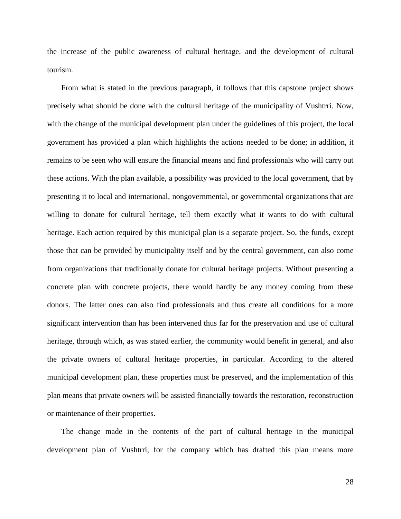the increase of the public awareness of cultural heritage, and the development of cultural tourism.

From what is stated in the previous paragraph, it follows that this capstone project shows precisely what should be done with the cultural heritage of the municipality of Vushtrri. Now, with the change of the municipal development plan under the guidelines of this project, the local government has provided a plan which highlights the actions needed to be done; in addition, it remains to be seen who will ensure the financial means and find professionals who will carry out these actions. With the plan available, a possibility was provided to the local government, that by presenting it to local and international, nongovernmental, or governmental organizations that are willing to donate for cultural heritage, tell them exactly what it wants to do with cultural heritage. Each action required by this municipal plan is a separate project. So, the funds, except those that can be provided by municipality itself and by the central government, can also come from organizations that traditionally donate for cultural heritage projects. Without presenting a concrete plan with concrete projects, there would hardly be any money coming from these donors. The latter ones can also find professionals and thus create all conditions for a more significant intervention than has been intervened thus far for the preservation and use of cultural heritage, through which, as was stated earlier, the community would benefit in general, and also the private owners of cultural heritage properties, in particular. According to the altered municipal development plan, these properties must be preserved, and the implementation of this plan means that private owners will be assisted financially towards the restoration, reconstruction or maintenance of their properties.

The change made in the contents of the part of cultural heritage in the municipal development plan of Vushtrri, for the company which has drafted this plan means more

28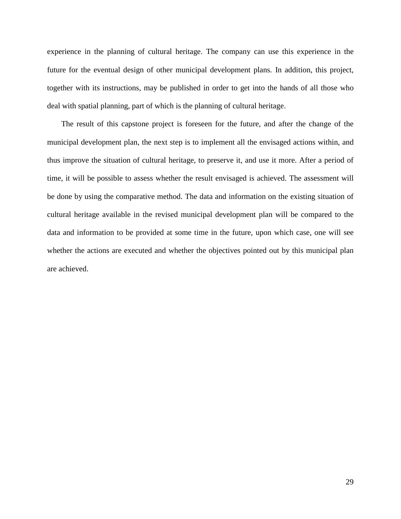experience in the planning of cultural heritage. The company can use this experience in the future for the eventual design of other municipal development plans. In addition, this project, together with its instructions, may be published in order to get into the hands of all those who deal with spatial planning, part of which is the planning of cultural heritage.

The result of this capstone project is foreseen for the future, and after the change of the municipal development plan, the next step is to implement all the envisaged actions within, and thus improve the situation of cultural heritage, to preserve it, and use it more. After a period of time, it will be possible to assess whether the result envisaged is achieved. The assessment will be done by using the comparative method. The data and information on the existing situation of cultural heritage available in the revised municipal development plan will be compared to the data and information to be provided at some time in the future, upon which case, one will see whether the actions are executed and whether the objectives pointed out by this municipal plan are achieved.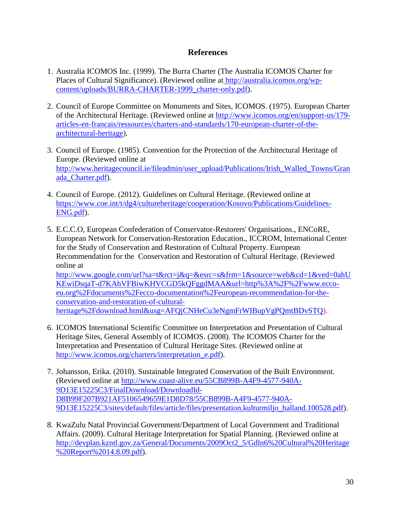### **References**

- 1. Australia ICOMOS Inc. (1999). The Burra Charter (The Australia ICOMOS Charter for Places of Cultural Significance). (Reviewed online at [http://australia.icomos.org/wp](http://australia.icomos.org/wp-content/uploads/BURRA-CHARTER-1999_charter-only.pdf)[content/uploads/BURRA-CHARTER-1999\\_charter-only.pdf\)](http://australia.icomos.org/wp-content/uploads/BURRA-CHARTER-1999_charter-only.pdf).
- 2. Council of Europe Committee on Monuments and Sites, ICOMOS. (1975). European Charter of the Architectural Heritage. (Reviewed online at [http://www.icomos.org/en/support-us/179](http://www.icomos.org/en/support-us/179-articles-en-francais/ressources/charters-and-standards/170-european-charter-of-the-architectural-heritage) [articles-en-francais/ressources/charters-and-standards/170-european-charter-of-the](http://www.icomos.org/en/support-us/179-articles-en-francais/ressources/charters-and-standards/170-european-charter-of-the-architectural-heritage)[architectural-heritage\)](http://www.icomos.org/en/support-us/179-articles-en-francais/ressources/charters-and-standards/170-european-charter-of-the-architectural-heritage).
- 3. Council of Europe. (1985). Convention for the Protection of the Architectural Heritage of Europe. (Reviewed online at [http://www.heritagecouncil.ie/fileadmin/user\\_upload/Publications/Irish\\_Walled\\_Towns/Gran](http://www.heritagecouncil.ie/fileadmin/user_upload/Publications/Irish_Walled_Towns/Granada_Charter.pdf) [ada\\_Charter.pdf\)](http://www.heritagecouncil.ie/fileadmin/user_upload/Publications/Irish_Walled_Towns/Granada_Charter.pdf).
- 4. Council of Europe. (2012). Guidelines on Cultural Heritage. (Reviewed online at [https://www.coe.int/t/dg4/cultureheritage/cooperation/Kosovo/Publications/Guidelines-](https://www.coe.int/t/dg4/cultureheritage/cooperation/Kosovo/Publications/Guidelines-ENG.pdf)[ENG.pdf\)](https://www.coe.int/t/dg4/cultureheritage/cooperation/Kosovo/Publications/Guidelines-ENG.pdf).
- 5. E.C.C.O, European Confederation of Conservator-Restorers' Organisations., ENCoRE, European Network for Conservation-Restoration Education., ICCROM, International Center for the Study of Conservation and Restoration of Cultural Property. European Recommendation for the Conservation and Restoration of Cultural Heritage. (Reviewed online at [http://www.google.com/url?sa=t&rct=j&q=&esrc=s&frm=1&source=web&cd=1&ved=0ahU](http://www.google.com/url?sa=t&rct=j&q=&esrc=s&frm=1&source=web&cd=1&ved=0ahUKEwiDsqaT-d7KAhVFBiwKHVCGD5kQFggdMAA&url=http%3A%2F%2Fwww.ecco-eu.org%2Fdocuments%2Fecco-documentation%2Feuropean-recommendation-for-the-conservation-and-restoration-of-cultural-heritage%2Fdownload.html&usg=AFQjCNHeCu3eNgmFrWIBupVgPQmtBDvSTQ)

[KEwiDsqaT-d7KAhVFBiwKHVCGD5kQFggdMAA&url=http%3A%2F%2Fwww.ecco](http://www.google.com/url?sa=t&rct=j&q=&esrc=s&frm=1&source=web&cd=1&ved=0ahUKEwiDsqaT-d7KAhVFBiwKHVCGD5kQFggdMAA&url=http%3A%2F%2Fwww.ecco-eu.org%2Fdocuments%2Fecco-documentation%2Feuropean-recommendation-for-the-conservation-and-restoration-of-cultural-heritage%2Fdownload.html&usg=AFQjCNHeCu3eNgmFrWIBupVgPQmtBDvSTQ)[eu.org%2Fdocuments%2Fecco-documentation%2Feuropean-recommendation-for-the](http://www.google.com/url?sa=t&rct=j&q=&esrc=s&frm=1&source=web&cd=1&ved=0ahUKEwiDsqaT-d7KAhVFBiwKHVCGD5kQFggdMAA&url=http%3A%2F%2Fwww.ecco-eu.org%2Fdocuments%2Fecco-documentation%2Feuropean-recommendation-for-the-conservation-and-restoration-of-cultural-heritage%2Fdownload.html&usg=AFQjCNHeCu3eNgmFrWIBupVgPQmtBDvSTQ)[conservation-and-restoration-of-cultural](http://www.google.com/url?sa=t&rct=j&q=&esrc=s&frm=1&source=web&cd=1&ved=0ahUKEwiDsqaT-d7KAhVFBiwKHVCGD5kQFggdMAA&url=http%3A%2F%2Fwww.ecco-eu.org%2Fdocuments%2Fecco-documentation%2Feuropean-recommendation-for-the-conservation-and-restoration-of-cultural-heritage%2Fdownload.html&usg=AFQjCNHeCu3eNgmFrWIBupVgPQmtBDvSTQ)[heritage%2Fdownload.html&usg=AFQjCNHeCu3eNgmFrWIBupVgPQmtBDvSTQ\)](http://www.google.com/url?sa=t&rct=j&q=&esrc=s&frm=1&source=web&cd=1&ved=0ahUKEwiDsqaT-d7KAhVFBiwKHVCGD5kQFggdMAA&url=http%3A%2F%2Fwww.ecco-eu.org%2Fdocuments%2Fecco-documentation%2Feuropean-recommendation-for-the-conservation-and-restoration-of-cultural-heritage%2Fdownload.html&usg=AFQjCNHeCu3eNgmFrWIBupVgPQmtBDvSTQ).

- 6. ICOMOS International Scientific Committee on Interpretation and Presentation of Cultural Heritage Sites, General Assembly of ICOMOS. (2008). The ICOMOS Charter for the Interpretation and Presentation of Cultural Heritage Sites. (Reviewed online at [http://www.icomos.org/charters/interpretation\\_e.pdf\)](http://www.icomos.org/charters/interpretation_e.pdf).
- 7. Johansson, Erika. (2010). Sustainable Integrated Conservation of the Built Environment. (Reviewed online at [http://www.coast-alive.eu/55CB899B-A4F9-4577-940A-](http://www.coast-alive.eu/55CB899B-A4F9-4577-940A-9D13E15225C3/FinalDownload/DownloadId-D8B99F207B921AF5106549659E1D8D78/55CB899B-A4F9-4577-940A-9D13E15225C3/sites/default/files/article/files/presentation.kulturmiljo_halland.100528.pdf)[9D13E15225C3/FinalDownload/DownloadId-](http://www.coast-alive.eu/55CB899B-A4F9-4577-940A-9D13E15225C3/FinalDownload/DownloadId-D8B99F207B921AF5106549659E1D8D78/55CB899B-A4F9-4577-940A-9D13E15225C3/sites/default/files/article/files/presentation.kulturmiljo_halland.100528.pdf)[D8B99F207B921AF5106549659E1D8D78/55CB899B-A4F9-4577-940A-](http://www.coast-alive.eu/55CB899B-A4F9-4577-940A-9D13E15225C3/FinalDownload/DownloadId-D8B99F207B921AF5106549659E1D8D78/55CB899B-A4F9-4577-940A-9D13E15225C3/sites/default/files/article/files/presentation.kulturmiljo_halland.100528.pdf)[9D13E15225C3/sites/default/files/article/files/presentation.kulturmiljo\\_halland.100528.pdf\)](http://www.coast-alive.eu/55CB899B-A4F9-4577-940A-9D13E15225C3/FinalDownload/DownloadId-D8B99F207B921AF5106549659E1D8D78/55CB899B-A4F9-4577-940A-9D13E15225C3/sites/default/files/article/files/presentation.kulturmiljo_halland.100528.pdf).
- 8. KwaZulu Natal Provincial Government/Department of Local Government and Traditional Affairs. (2009). Cultural Heritage Interpretation for Spatial Planning. (Reviewed online at [http://devplan.kzntl.gov.za/General/Documents/2009Oct2\\_5/Gdln6%20Cultural%20Heritage](http://devplan.kzntl.gov.za/General/Documents/2009Oct2_5/Gdln6%20Cultural%20Heritage%20Report%2014.8.09.pdf) [%20Report%2014.8.09.pdf\)](http://devplan.kzntl.gov.za/General/Documents/2009Oct2_5/Gdln6%20Cultural%20Heritage%20Report%2014.8.09.pdf).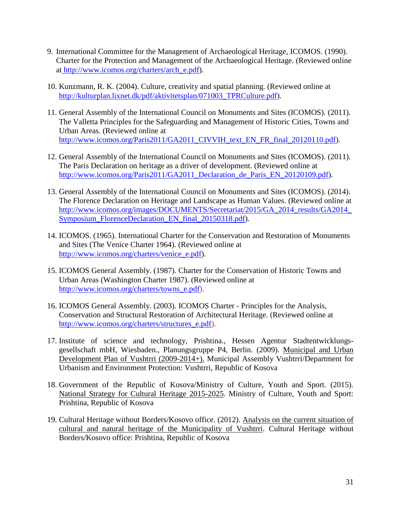- 9. International Committee for the Management of Archaeological Heritage, ICOMOS. (1990). Charter for the Protection and Management of the Archaeological Heritage. (Reviewed online at [http://www.icomos.org/charters/arch\\_e.pdf\)](http://www.icomos.org/charters/arch_e.pdf).
- 10. Kunzmann, R. K. (2004). Culture, creativity and spatial planning. (Reviewed online at [http://kulturplan.lixnet.dk/pdf/aktivitetsplan/071003\\_TPRCulture.pdf\)](http://kulturplan.lixnet.dk/pdf/aktivitetsplan/071003_TPRCulture.pdf).
- 11. General Assembly of the International Council on Monuments and Sites (ICOMOS). (2011). The Valletta Principles for the Safeguarding and Management of Historic Cities, Towns and Urban Areas. (Reviewed online at [http://www.icomos.org/Paris2011/GA2011\\_CIVVIH\\_text\\_EN\\_FR\\_final\\_20120110.pdf\)](http://www.icomos.org/Paris2011/GA2011_CIVVIH_text_EN_FR_final_20120110.pdf).
- 12. General Assembly of the International Council on Monuments and Sites (ICOMOS). (2011). The Paris Declaration on heritage as a driver of development. (Reviewed online at http://www.icomos.org/Paris2011/GA2011 Declaration de Paris EN 20120109.pdf).
- 13. General Assembly of the International Council on Monuments and Sites (ICOMOS). (2014). The Florence Declaration on Heritage and Landscape as Human Values. (Reviewed online at [http://www.icomos.org/images/DOCUMENTS/Secretariat/2015/GA\\_2014\\_results/GA2014\\_](http://www.icomos.org/images/DOCUMENTS/Secretariat/2015/GA_2014_results/GA2014_Symposium_FlorenceDeclaration_EN_final_20150318.pdf) [Symposium\\_FlorenceDeclaration\\_EN\\_final\\_20150318.pdf\)](http://www.icomos.org/images/DOCUMENTS/Secretariat/2015/GA_2014_results/GA2014_Symposium_FlorenceDeclaration_EN_final_20150318.pdf).
- 14. ICOMOS. (1965). International Charter for the Conservation and Restoration of Monuments and Sites (The Venice Charter 1964). (Reviewed online at [http://www.icomos.org/charters/venice\\_e.pdf\)](http://www.icomos.org/charters/venice_e.pdf).
- 15. ICOMOS General Assembly. (1987). Charter for the Conservation of Historic Towns and Urban Areas (Washington Charter 1987). (Reviewed online at [http://www.icomos.org/charters/towns\\_e.pdf\)](http://www.icomos.org/charters/towns_e.pdf).
- 16. ICOMOS General Assembly. (2003). ICOMOS Charter Principles for the Analysis, Conservation and Structural Restoration of Architectural Heritage. (Reviewed online at [http://www.icomos.org/charters/structures\\_e.pdf\)](http://www.icomos.org/charters/structures_e.pdf).
- 17. Institute of science and technology, Prishtina., Hessen Agentur Stadtentwicklungsgesellschaft mbH, Wiesbaden., Planungsgruppe P4, Berlin. (2009). Municipal and Urban Development Plan of Vushtrri (2009-2014+). Municipal Assembly Vushtrri/Department for Urbanism and Environment Protection: Vushtrri, Republic of Kosova
- 18. Government of the Republic of Kosova/Ministry of Culture, Youth and Sport. (2015). National Strategy for Cultural Heritage 2015-2025. Ministry of Culture, Youth and Sport: Prishtina, Republic of Kosova
- 19. Cultural Heritage without Borders/Kosovo office. (2012). Analysis on the current situation of cultural and natural heritage of the Municipality of Vushtrri. Cultural Heritage without Borders/Kosovo office: Prishtina, Republic of Kosova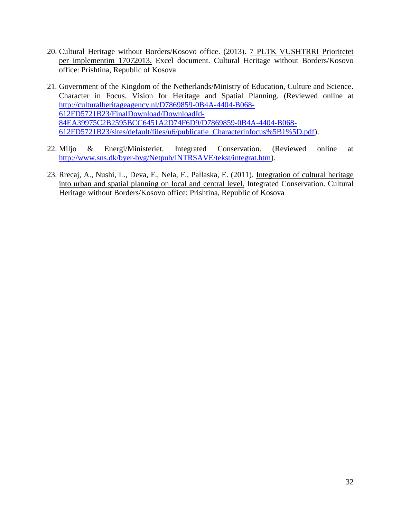- 20. Cultural Heritage without Borders/Kosovo office. (2013). 7 PLTK VUSHTRRI Prioritetet per implementim 17072013. Excel document. Cultural Heritage without Borders/Kosovo office: Prishtina, Republic of Kosova
- 21. Government of the Kingdom of the Netherlands/Ministry of Education, Culture and Science. Character in Focus. Vision for Heritage and Spatial Planning. (Reviewed online at [http://culturalheritageagency.nl/D7869859-0B4A-4404-B068-](http://culturalheritageagency.nl/D7869859-0B4A-4404-B068-612FD5721B23/FinalDownload/DownloadId-84EA39975C2B2595BCC6451A2D74F6D9/D7869859-0B4A-4404-B068-612FD5721B23/sites/default/files/u6/publicatie_Characterinfocus%5B1%5D.pdf) [612FD5721B23/FinalDownload/DownloadId-](http://culturalheritageagency.nl/D7869859-0B4A-4404-B068-612FD5721B23/FinalDownload/DownloadId-84EA39975C2B2595BCC6451A2D74F6D9/D7869859-0B4A-4404-B068-612FD5721B23/sites/default/files/u6/publicatie_Characterinfocus%5B1%5D.pdf)[84EA39975C2B2595BCC6451A2D74F6D9/D7869859-0B4A-4404-B068-](http://culturalheritageagency.nl/D7869859-0B4A-4404-B068-612FD5721B23/FinalDownload/DownloadId-84EA39975C2B2595BCC6451A2D74F6D9/D7869859-0B4A-4404-B068-612FD5721B23/sites/default/files/u6/publicatie_Characterinfocus%5B1%5D.pdf) [612FD5721B23/sites/default/files/u6/publicatie\\_Characterinfocus%5B1%5D.pdf\)](http://culturalheritageagency.nl/D7869859-0B4A-4404-B068-612FD5721B23/FinalDownload/DownloadId-84EA39975C2B2595BCC6451A2D74F6D9/D7869859-0B4A-4404-B068-612FD5721B23/sites/default/files/u6/publicatie_Characterinfocus%5B1%5D.pdf).
- 22. Miljo & Energi/Ministeriet. Integrated Conservation. (Reviewed online at [http://www.sns.dk/byer-byg/Netpub/INTRSAVE/tekst/integrat.htm\)](http://www.sns.dk/byer-byg/Netpub/INTRSAVE/tekst/integrat.htm).
- 23. Rrecaj, A., Nushi, L., Deva, F., Nela, F., Pallaska, E. (2011). Integration of cultural heritage into urban and spatial planning on local and central level. Integrated Conservation. Cultural Heritage without Borders/Kosovo office: Prishtina, Republic of Kosova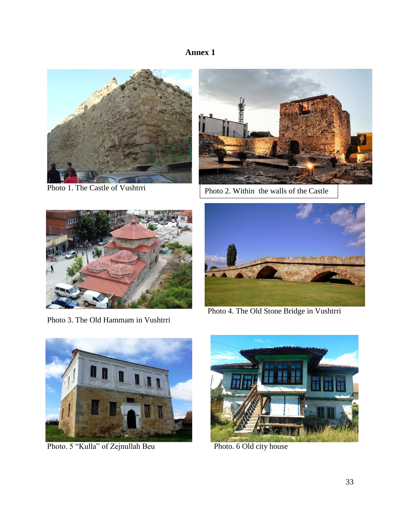# **Annex 1**



Photo 1. The Castle of Vushtrri



Photo 2. Within the walls of the Castle



Photo 3. The Old Hammam in Vushtrri



Photo 4. The Old Stone Bridge in Vushtrri



Photo. 5 "Kulla" of Zejnullah Beu Photo. 6 Old city house